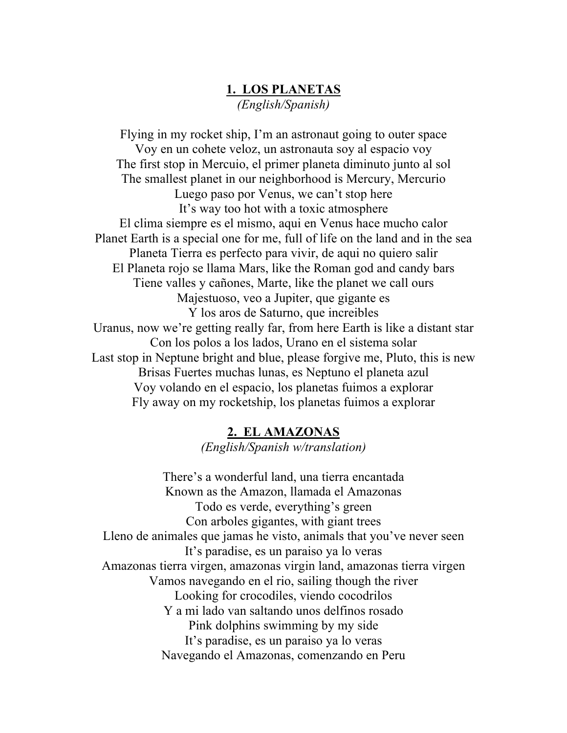# **1. LOS PLANETAS** *(English/Spanish)*

Flying in my rocket ship, I'm an astronaut going to outer space Voy en un cohete veloz, un astronauta soy al espacio voy The first stop in Mercuio, el primer planeta diminuto junto al sol The smallest planet in our neighborhood is Mercury, Mercurio Luego paso por Venus, we can't stop here It's way too hot with a toxic atmosphere El clima siempre es el mismo, aqui en Venus hace mucho calor Planet Earth is a special one for me, full of life on the land and in the sea Planeta Tierra es perfecto para vivir, de aqui no quiero salir El Planeta rojo se llama Mars, like the Roman god and candy bars Tiene valles y cañones, Marte, like the planet we call ours Majestuoso, veo a Jupiter, que gigante es Y los aros de Saturno, que increibles Uranus, now we're getting really far, from here Earth is like a distant star Con los polos a los lados, Urano en el sistema solar Last stop in Neptune bright and blue, please forgive me, Pluto, this is new Brisas Fuertes muchas lunas, es Neptuno el planeta azul Voy volando en el espacio, los planetas fuimos a explorar Fly away on my rocketship, los planetas fuimos a explorar

### **2. EL AMAZONAS**

*(English/Spanish w/translation)*

There's a wonderful land, una tierra encantada Known as the Amazon, llamada el Amazonas Todo es verde, everything's green Con arboles gigantes, with giant trees Lleno de animales que jamas he visto, animals that you've never seen It's paradise, es un paraiso ya lo veras Amazonas tierra virgen, amazonas virgin land, amazonas tierra virgen Vamos navegando en el rio, sailing though the river Looking for crocodiles, viendo cocodrilos Y a mi lado van saltando unos delfinos rosado Pink dolphins swimming by my side It's paradise, es un paraiso ya lo veras Navegando el Amazonas, comenzando en Peru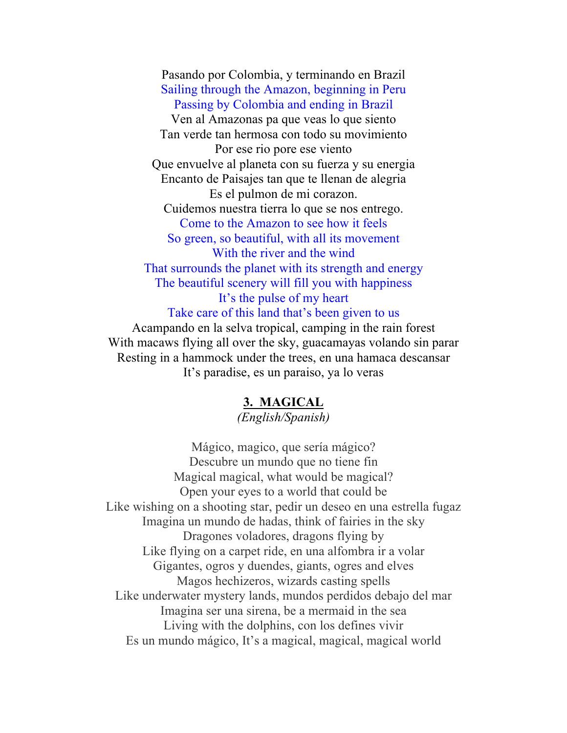Pasando por Colombia, y terminando en Brazil Sailing through the Amazon, beginning in Peru Passing by Colombia and ending in Brazil Ven al Amazonas pa que veas lo que siento Tan verde tan hermosa con todo su movimiento Por ese rio pore ese viento Que envuelve al planeta con su fuerza y su energia Encanto de Paisajes tan que te llenan de alegria Es el pulmon de mi corazon. Cuidemos nuestra tierra lo que se nos entrego. Come to the Amazon to see how it feels So green, so beautiful, with all its movement With the river and the wind That surrounds the planet with its strength and energy The beautiful scenery will fill you with happiness It's the pulse of my heart Take care of this land that's been given to us

Acampando en la selva tropical, camping in the rain forest With macaws flying all over the sky, guacamayas volando sin parar Resting in a hammock under the trees, en una hamaca descansar It's paradise, es un paraiso, ya lo veras

#### **3. MAGICAL**

*(English/Spanish)*

Mágico, magico, que sería mágico? Descubre un mundo que no tiene fin Magical magical, what would be magical? Open your eyes to a world that could be Like wishing on a shooting star, pedir un deseo en una estrella fugaz Imagina un mundo de hadas, think of fairies in the sky Dragones voladores, dragons flying by Like flying on a carpet ride, en una alfombra ir a volar Gigantes, ogros y duendes, giants, ogres and elves Magos hechizeros, wizards casting spells Like underwater mystery lands, mundos perdidos debajo del mar Imagina ser una sirena, be a mermaid in the sea Living with the dolphins, con los defines vivir Es un mundo mágico, It's a magical, magical, magical world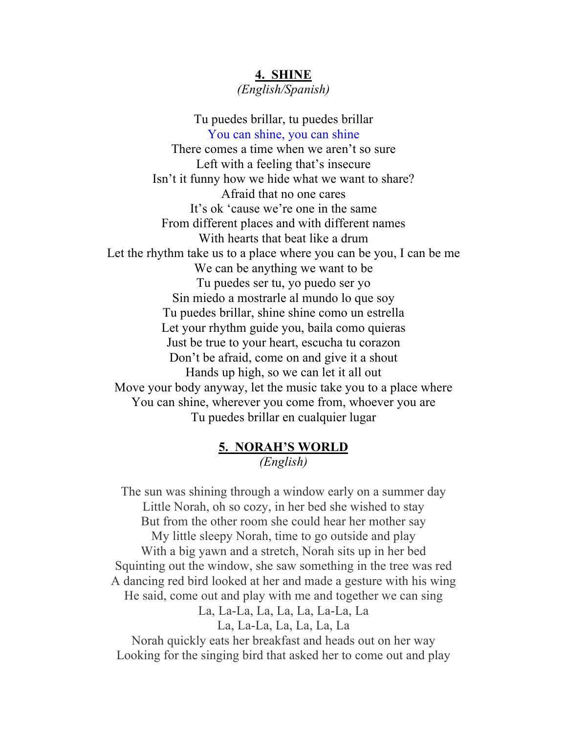## **4. SHINE**

*(English/Spanish)*

Tu puedes brillar, tu puedes brillar You can shine, you can shine There comes a time when we aren't so sure Left with a feeling that's insecure Isn't it funny how we hide what we want to share? Afraid that no one cares It's ok 'cause we're one in the same From different places and with different names With hearts that beat like a drum Let the rhythm take us to a place where you can be you, I can be me We can be anything we want to be Tu puedes ser tu, yo puedo ser yo Sin miedo a mostrarle al mundo lo que soy Tu puedes brillar, shine shine como un estrella Let your rhythm guide you, baila como quieras Just be true to your heart, escucha tu corazon Don't be afraid, come on and give it a shout Hands up high, so we can let it all out Move your body anyway, let the music take you to a place where You can shine, wherever you come from, whoever you are Tu puedes brillar en cualquier lugar

#### **5. NORAH'S WORLD** *(English)*

The sun was shining through a window early on a summer day Little Norah, oh so cozy, in her bed she wished to stay But from the other room she could hear her mother say My little sleepy Norah, time to go outside and play With a big yawn and a stretch, Norah sits up in her bed Squinting out the window, she saw something in the tree was red A dancing red bird looked at her and made a gesture with his wing He said, come out and play with me and together we can sing La, La-La, La, La, La, La-La, La La, La-La, La, La, La, La

Norah quickly eats her breakfast and heads out on her way Looking for the singing bird that asked her to come out and play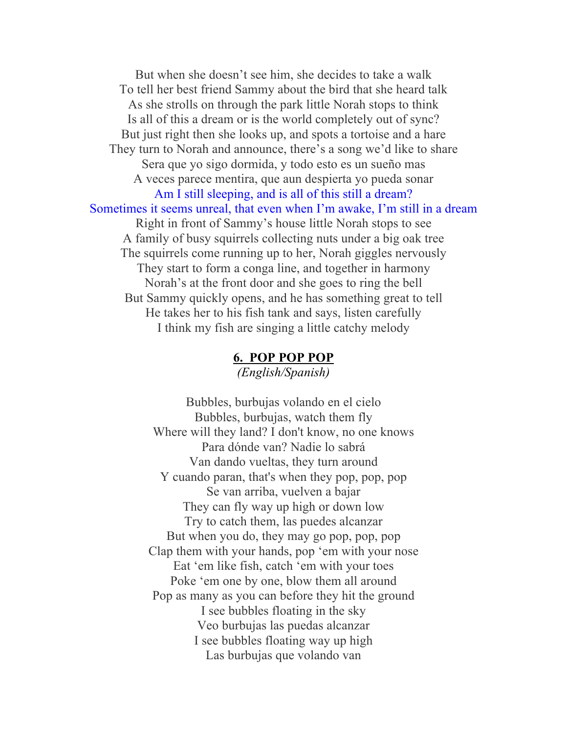But when she doesn't see him, she decides to take a walk To tell her best friend Sammy about the bird that she heard talk As she strolls on through the park little Norah stops to think Is all of this a dream or is the world completely out of sync? But just right then she looks up, and spots a tortoise and a hare They turn to Norah and announce, there's a song we'd like to share Sera que yo sigo dormida, y todo esto es un sueño mas A veces parece mentira, que aun despierta yo pueda sonar Am I still sleeping, and is all of this still a dream? Sometimes it seems unreal, that even when I'm awake, I'm still in a dream Right in front of Sammy's house little Norah stops to see A family of busy squirrels collecting nuts under a big oak tree The squirrels come running up to her, Norah giggles nervously They start to form a conga line, and together in harmony Norah's at the front door and she goes to ring the bell But Sammy quickly opens, and he has something great to tell He takes her to his fish tank and says, listen carefully I think my fish are singing a little catchy melody

#### **6. POP POP POP** *(English/Spanish)*

Bubbles, burbujas volando en el cielo Bubbles, burbujas, watch them fly Where will they land? I don't know, no one knows Para dónde van? Nadie lo sabrá Van dando vueltas, they turn around Y cuando paran, that's when they pop, pop, pop Se van arriba, vuelven a bajar They can fly way up high or down low Try to catch them, las puedes alcanzar But when you do, they may go pop, pop, pop Clap them with your hands, pop 'em with your nose Eat 'em like fish, catch 'em with your toes Poke 'em one by one, blow them all around Pop as many as you can before they hit the ground I see bubbles floating in the sky Veo burbujas las puedas alcanzar I see bubbles floating way up high Las burbujas que volando van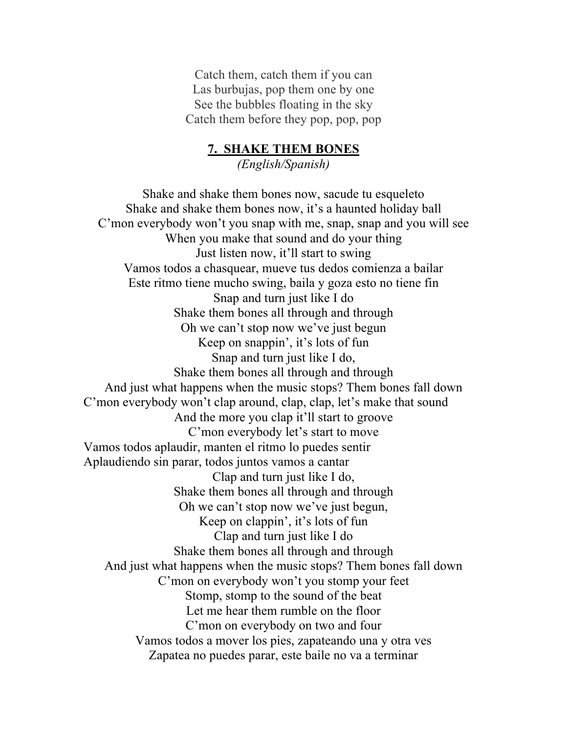Catch them, catch them if you can Las burbujas, pop them one by one See the bubbles floating in the sky Catch them before they pop, pop, pop

# **7. SHAKE THEM BONES**

*(English/Spanish)*

Shake and shake them bones now, sacude tu esqueleto Shake and shake them bones now, it's a haunted holiday ball C'mon everybody won't you snap with me, snap, snap and you will see When you make that sound and do your thing Just listen now, it'll start to swing Vamos todos a chasquear, mueve tus dedos comienza a bailar Este ritmo tiene mucho swing, baila y goza esto no tiene fin Snap and turn just like I do Shake them bones all through and through Oh we can't stop now we've just begun Keep on snappin', it's lots of fun Snap and turn just like I do, Shake them bones all through and through And just what happens when the music stops? Them bones fall down C'mon everybody won't clap around, clap, clap, let's make that sound And the more you clap it'll start to groove C'mon everybody let's start to move Vamos todos aplaudir, manten el ritmo lo puedes sentir Aplaudiendo sin parar, todos juntos vamos a cantar Clap and turn just like I do, Shake them bones all through and through Oh we can't stop now we've just begun, Keep on clappin', it's lots of fun Clap and turn just like I do Shake them bones all through and through And just what happens when the music stops? Them bones fall down C'mon on everybody won't you stomp your feet Stomp, stomp to the sound of the beat Let me hear them rumble on the floor C'mon on everybody on two and four Vamos todos a mover los pies, zapateando una y otra ves Zapatea no puedes parar, este baile no va a terminar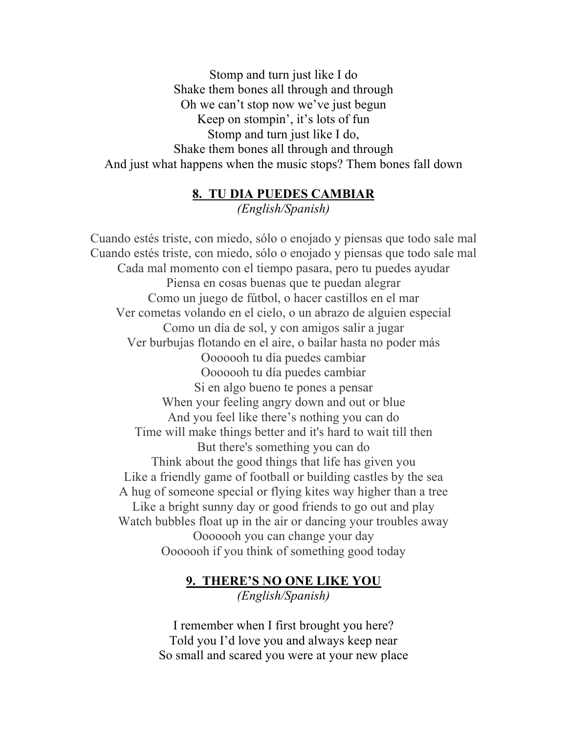Stomp and turn just like I do Shake them bones all through and through Oh we can't stop now we've just begun Keep on stompin', it's lots of fun Stomp and turn just like I do, Shake them bones all through and through And just what happens when the music stops? Them bones fall down

#### **8. TU DIA PUEDES CAMBIAR**

*(English/Spanish)*

Cuando estés triste, con miedo, sólo o enojado y piensas que todo sale mal Cuando estés triste, con miedo, sólo o enojado y piensas que todo sale mal Cada mal momento con el tiempo pasara, pero tu puedes ayudar Piensa en cosas buenas que te puedan alegrar Como un juego de fútbol, o hacer castillos en el mar Ver cometas volando en el cielo, o un abrazo de alguien especial Como un día de sol, y con amigos salir a jugar Ver burbujas flotando en el aire, o bailar hasta no poder más Ooooooh tu día puedes cambiar Ooooooh tu día puedes cambiar Si en algo bueno te pones a pensar When your feeling angry down and out or blue And you feel like there's nothing you can do Time will make things better and it's hard to wait till then But there's something you can do Think about the good things that life has given you Like a friendly game of football or building castles by the sea A hug of someone special or flying kites way higher than a tree Like a bright sunny day or good friends to go out and play Watch bubbles float up in the air or dancing your troubles away Ooooooh you can change your day Ooooooh if you think of something good today

#### **9. THERE'S NO ONE LIKE YOU** *(English/Spanish)*

I remember when I first brought you here? Told you I'd love you and always keep near So small and scared you were at your new place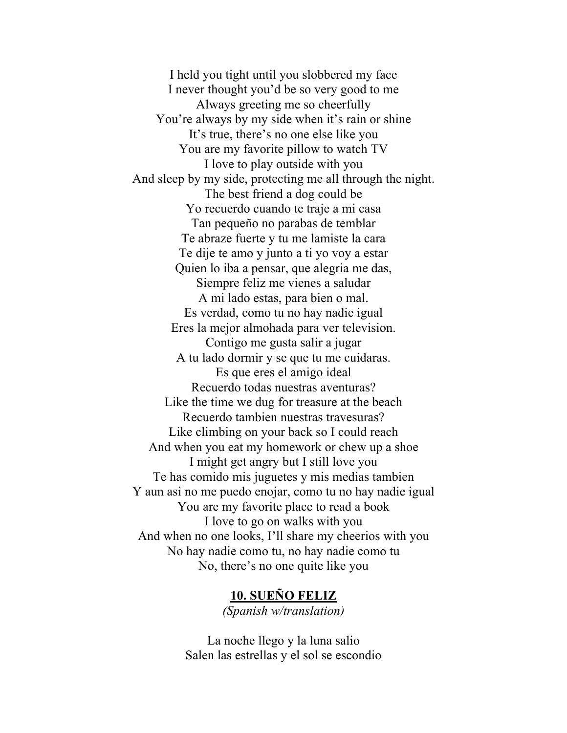I held you tight until you slobbered my face I never thought you'd be so very good to me Always greeting me so cheerfully You're always by my side when it's rain or shine It's true, there's no one else like you You are my favorite pillow to watch TV I love to play outside with you And sleep by my side, protecting me all through the night. The best friend a dog could be Yo recuerdo cuando te traje a mi casa Tan pequeño no parabas de temblar Te abraze fuerte y tu me lamiste la cara Te dije te amo y junto a ti yo voy a estar Quien lo iba a pensar, que alegria me das, Siempre feliz me vienes a saludar A mi lado estas, para bien o mal. Es verdad, como tu no hay nadie igual Eres la mejor almohada para ver television. Contigo me gusta salir a jugar A tu lado dormir y se que tu me cuidaras. Es que eres el amigo ideal Recuerdo todas nuestras aventuras? Like the time we dug for treasure at the beach Recuerdo tambien nuestras travesuras? Like climbing on your back so I could reach And when you eat my homework or chew up a shoe I might get angry but I still love you Te has comido mis juguetes y mis medias tambien Y aun asi no me puedo enojar, como tu no hay nadie igual You are my favorite place to read a book I love to go on walks with you And when no one looks, I'll share my cheerios with you No hay nadie como tu, no hay nadie como tu No, there's no one quite like you

#### **10. SUEÑO FELIZ**

*(Spanish w/translation)*

La noche llego y la luna salio Salen las estrellas y el sol se escondio